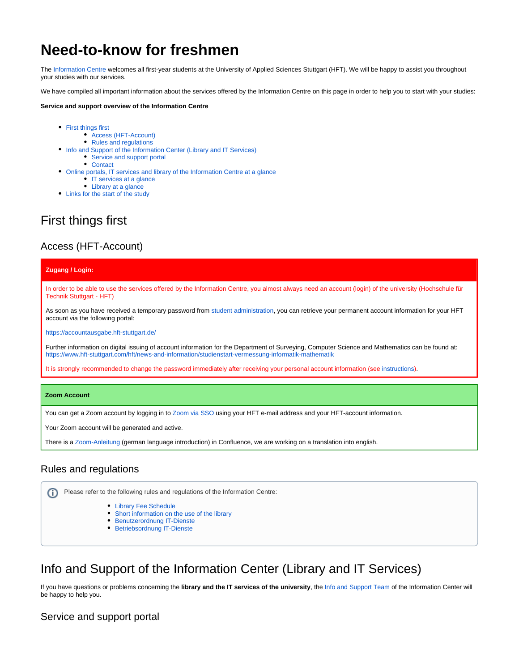# **Need-to-know for freshmen**

The [Information Centre](https://www.hft-stuttgart.com/hft/facilities/information-centre) welcomes all first-year students at the University of Applied Sciences Stuttgart (HFT). We will be happy to assist you throughout your studies with our services.

We have compiled all important information about the services offered by the Information Centre on this page in order to help you to start with your studies:

#### **Service and support overview of the Information Centre**

- [First things first](#page-0-0)
	- [Access \(HFT-Account\)](#page-0-1)
	- [Rules and regulations](#page-0-2)
- [Info and Support of the Information Center \(Library and IT Services\)](#page-0-3)
	- [Service and support portal](#page-0-4)
	- [Contact](#page-1-0)
- [Online portals, IT services and library of the Information Centre at a glance](#page-2-0) • [IT services at a glance](#page-2-1)
	- [Library at a glance](#page-2-2)
- [Links for the start of the study](#page-3-0)

## <span id="page-0-0"></span>First things first

### <span id="page-0-1"></span>Access (HFT-Account)

#### **Zugang / Login:**

In order to be able to use the services offered by the Information Centre, you almost always need an account (login) of the university (Hochschule für Technik Stuttgart - HFT)

As soon as you have received a temporary password from [student administration,](https://www.hft-stuttgart.com/studies/while-you-study/study-organisation) you can retrieve your permanent account information for your HFT account via the following portal:

<https://accountausgabe.hft-stuttgart.de/>

Further information on digital issuing of account information for the Department of Surveying, Computer Science and Mathematics can be found at: <https://www.hft-stuttgart.com/hft/news-and-information/studienstart-vermessung-informatik-mathematik>

It is strongly recommended to change the password immediately after receiving your personal account information (see [instructions\)](https://confluence.hft-stuttgart.de/pages/viewpage.action?pageId=662503474).

#### **Zoom Account**

You can get a Zoom account by logging in to [Zoom via SSO](https://zoom.us/web/sso/email_login?en=signin) using your HFT e-mail address and your HFT-account information.

Your Zoom account will be generated and active.

There is a [Zoom-Anleitung](https://confluence.hft-stuttgart.de/pages/viewpage.action?pageId=781652170) (german language introduction) in Confluence, we are working on a translation into english.

### <span id="page-0-2"></span>Rules and regulations

ന Please refer to the following rules and regulations of the Information Centre:

- [Library Fee Schedule](https://www.hft-stuttgart.de/fileadmin/Dateien/Allgemeine-Hochschuldaten/Bibliothek/Formulare/Gebuehrensatzung-HFT-Bibliothek.pdf)
- [Short information on the use of the library](https://www.hft-stuttgart.com/fileadmin/Dateien/Allgemeine-Hochschuldaten/Bibliothek/Formulare/Library-regulations-short-summary.pdf)
- **[Benutzerordnung IT-Dienste](https://confluence.hft-stuttgart.de/download/attachments/788147516/IZ_Benutzerordnung.pdf?version=1&modificationDate=1614694856000&api=v2)**
- **[Betriebsordnung IT-Dienste](https://confluence.hft-stuttgart.de/download/attachments/788147516/IZ_Betriebsordnung.pdf?version=1&modificationDate=1614694856000&api=v2)**

## <span id="page-0-3"></span>Info and Support of the Information Center (Library and IT Services)

If you have questions or problems concerning the **library and the IT services of the university**, the [Info and Support Team](https://www.hft-stuttgart.com/hft/facilities/information-centre/it-support) of the Information Center will be happy to help you.

### <span id="page-0-4"></span>Service and support portal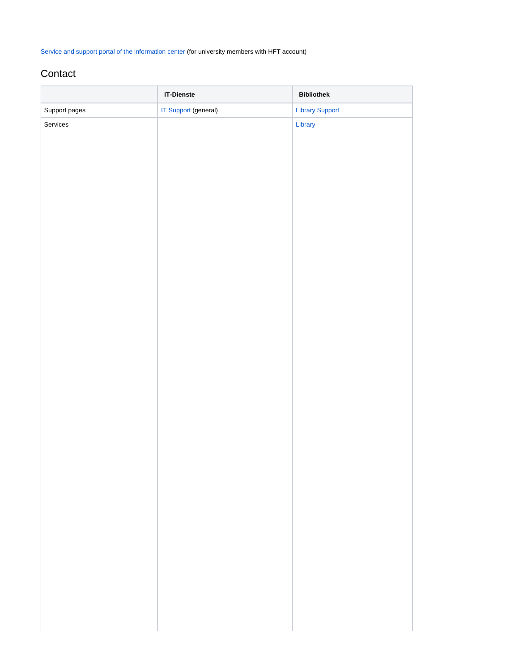[Service and support portal of the information center](https://jira.hft-stuttgart.de/servicedesk/customer/user/login?destination=portals) (for university members with HFT account)

### <span id="page-1-0"></span>**Contact**

|               | <b>IT-Dienste</b>           | <b>Bibliothek</b>      |
|---------------|-----------------------------|------------------------|
| Support pages | <b>IT Support (general)</b> | <b>Library Support</b> |
| Services      |                             | Library                |
|               |                             |                        |
|               |                             |                        |
|               |                             |                        |
|               |                             |                        |
|               |                             |                        |
|               |                             |                        |
|               |                             |                        |
|               |                             |                        |
|               |                             |                        |
|               |                             |                        |
|               |                             |                        |
|               |                             |                        |
|               |                             |                        |
|               |                             |                        |
|               |                             |                        |
|               |                             |                        |
|               |                             |                        |
|               |                             |                        |
|               |                             |                        |
|               |                             |                        |
|               |                             |                        |
|               |                             |                        |
|               |                             |                        |
|               |                             |                        |
|               |                             |                        |
|               |                             |                        |
|               |                             |                        |
|               |                             |                        |
|               |                             |                        |
|               |                             |                        |
|               |                             |                        |
|               |                             |                        |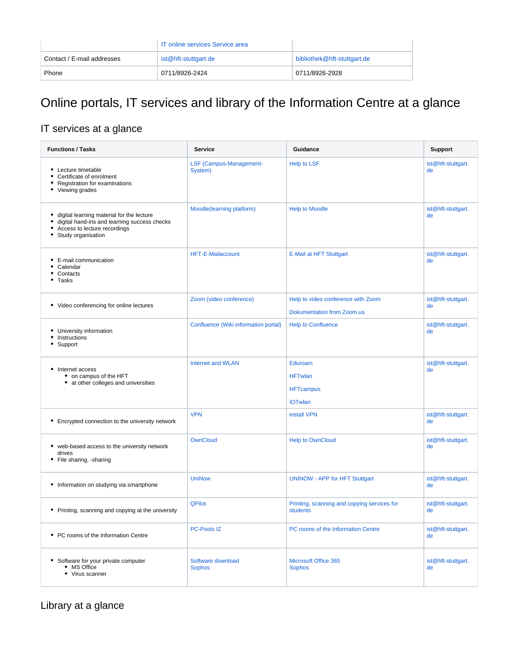|                            | <b>IT online services Service area</b> |                             |
|----------------------------|----------------------------------------|-----------------------------|
| Contact / E-mail addresses | ist@hft-stuttgart.de                   | bibliothek@hft-stuttgart.de |
| Phone                      | 0711/8926-2424                         | 0711/8926-2928              |

# <span id="page-2-0"></span>Online portals, IT services and library of the Information Centre at a glance

## <span id="page-2-1"></span>IT services at a glance

| <b>Functions / Tasks</b>                                                                                                                        | <b>Service</b>                       | Guidance                                                        | <b>Support</b>           |
|-------------------------------------------------------------------------------------------------------------------------------------------------|--------------------------------------|-----------------------------------------------------------------|--------------------------|
| • Lecture timetable<br>Certificate of enrolment<br>Registration for examinations<br>• Viewing grades                                            | LSF (Campus-Management-<br>System)   | <b>Help to LSF</b>                                              | ist@hft-stuttgart.<br>de |
| digital learning material for the lecture<br>digital hand-ins and learning success checks<br>Access to lecture recordings<br>Study organisation | Moodle(learning platform)            | <b>Help to Moodle</b>                                           | ist@hft-stuttgart.<br>de |
| • E-mail communication<br>Calendar<br>Contacts<br>Tasks<br>٠                                                                                    | <b>HFT-E-Mailaccount</b>             | <b>E-Mail at HFT Stuttgart</b>                                  | ist@hft-stuttgart.<br>de |
| • Video conferencing for online lectures                                                                                                        | Zoom (video conference)              | Help to video conference with Zoom                              | ist@hft-stuttgart.<br>de |
|                                                                                                                                                 |                                      | <b>Dokumentation from Zoom.us</b>                               |                          |
| • University information<br>Instructions<br>Support                                                                                             | Confluence (Wiki information portal) | <b>Help to Confluence</b>                                       | ist@hft-stuttgart.<br>de |
| • Internet access<br>• on campus of the HFT<br>• at other colleges and universities                                                             | <b>Internet and WLAN</b>             | Eduroam<br><b>HFTwlan</b><br><b>HFTcampus</b><br><b>IOTwlan</b> | ist@hft-stuttgart.<br>de |
| • Encrypted connection to the university network                                                                                                | <b>VPN</b>                           | install VPN                                                     | ist@hft-stuttgart.<br>de |
| • web-based access to the university network<br>drives<br>• File sharing, -sharing                                                              | OwnCloud                             | <b>Help to OwnCloud</b>                                         | ist@hft-stuttgart.<br>de |
| • Information on studying via smartphone                                                                                                        | <b>UniNow</b>                        | <b>UNINOW - APP for HFT Stuttgart</b>                           | ist@hft-stuttgart.<br>de |
| • Printing, scanning and copying at the university                                                                                              | <b>QPilot</b>                        | Printing, scanning and copying services for<br>students         | ist@hft-stuttgart.<br>de |
| • PC rooms of the Information Centre                                                                                                            | <b>PC-Pools IZ</b>                   | PC rooms of the Information Centre                              | ist@hft-stuttgart.<br>de |
| • Software for your private computer<br>• MS Office<br>• Virus scanner                                                                          | Software download<br><b>Sophos</b>   | Microsoft Office 365<br><b>Sophos</b>                           | ist@hft-stuttgart.<br>de |

<span id="page-2-2"></span>Library at a glance